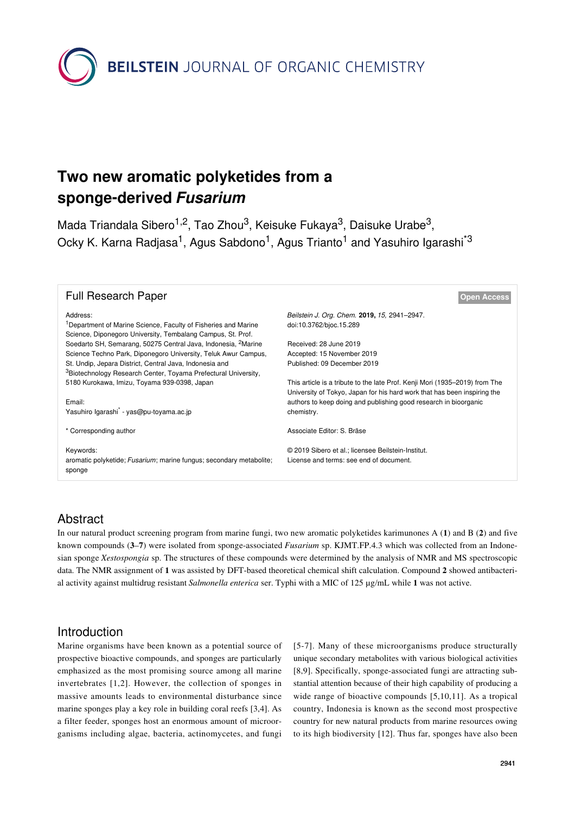**BEILSTEIN** JOURNAL OF ORGANIC CHEMISTRY

# **Two new aromatic polyketides from a sponge-derived** *Fusarium*

Mada Triandala Sibero<sup>1,2</sup>, Tao Zhou<sup>3</sup>, Keisuke Fukaya<sup>3</sup>, Daisuke Urabe<sup>3</sup>, Ocky K. Karna Radjasa<sup>1</sup>, Agus Sabdono<sup>1</sup>, Agus Trianto<sup>1</sup> and Yasuhiro Igarashi<sup>\*3</sup>

#### **Full Research Paper [Open Access](https://www.beilstein-journals.org/bjoc/about/openAccess.htm)**

Address: <sup>1</sup>Department of Marine Science, Faculty of Fisheries and Marine Science, Diponegoro University, Tembalang Campus, St. Prof. Soedarto SH, Semarang, 50275 Central Java, Indonesia, 2Marine Science Techno Park, Diponegoro University, Teluk Awur Campus, St. Undip, Jepara District, Central Java, Indonesia and <sup>3</sup>Biotechnology Research Center, Toyama Prefectural University, 5180 Kurokawa, Imizu, Toyama 939-0398, Japan

Email:

Yasuhiro Igarashi\* - [yas@pu-toyama.ac.jp](mailto:yas@pu-toyama.ac.jp)

\* Corresponding author

Keywords:

aromatic polyketide; *Fusarium*; marine fungus; secondary metabolite; sponge

*Beilstein J. Org. Chem.* **2019,** *15,* 2941–2947. [doi:10.3762/bjoc.15.289](https://doi.org/10.3762%2Fbjoc.15.289)

Received: 28 June 2019 Accepted: 15 November 2019 Published: 09 December 2019

This article is a tribute to the late Prof. Kenji Mori (1935–2019) from The University of Tokyo, Japan for his hard work that has been inspiring the authors to keep doing and publishing good research in bioorganic chemistry.

Associate Editor: S. Bräse

© 2019 Sibero et al.; licensee Beilstein-Institut. License and terms: see end of document.

## Abstract

In our natural product screening program from marine fungi, two new aromatic polyketides karimunones A (1) and B (2) and five known compounds (**3**–**7**) were isolated from sponge-associated *Fusarium* sp. KJMT.FP.4.3 which was collected from an Indonesian sponge *Xestospongia* sp. The structures of these compounds were determined by the analysis of NMR and MS spectroscopic data. The NMR assignment of **1** was assisted by DFT-based theoretical chemical shift calculation. Compound **2** showed antibacterial activity against multidrug resistant *Salmonella enterica* ser. Typhi with a MIC of 125 µg/mL while **1** was not active.

## Introduction

Marine organisms have been known as a potential source of prospective bioactive compounds, and sponges are particularly emphasized as the most promising source among all marine invertebrates [\[1,2\]](#page-6-0). However, the collection of sponges in massive amounts leads to environmental disturbance since marine sponges play a key role in building coral reefs [\[3,4\].](#page-6-1) As a filter feeder, sponges host an enormous amount of microorganisms including algae, bacteria, actinomycetes, and fungi [\[5-7\]](#page-6-2). Many of these microorganisms produce structurally unique secondary metabolites with various biological activities [\[8,9\]](#page-6-3). Specifically, sponge-associated fungi are attracting substantial attention because of their high capability of producing a wide range of bioactive compounds [\[5,10,11\]](#page-6-2). As a tropical country, Indonesia is known as the second most prospective country for new natural products from marine resources owing to its high biodiversity [\[12\]](#page-6-4). Thus far, sponges have also been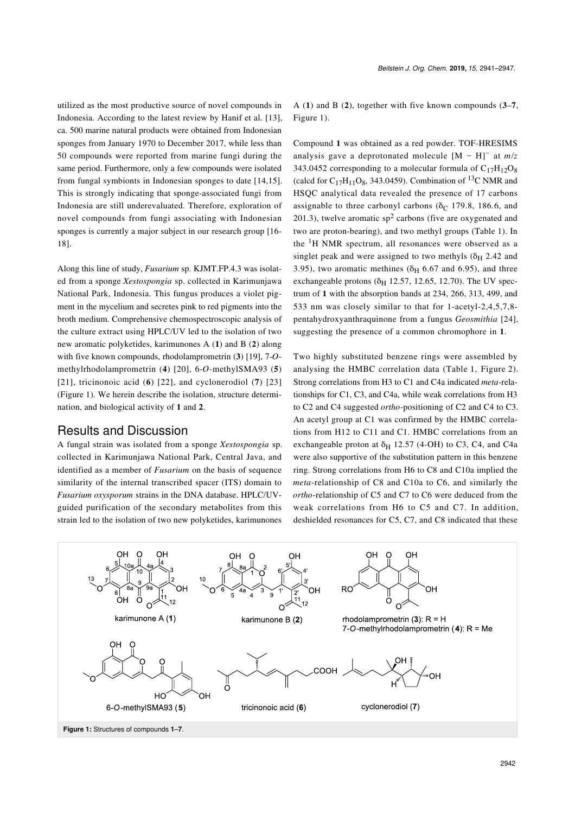utilized as the most productive source of novel compounds in Indonesia. According to the latest review by Hanif et al. [\[13\]](#page-6-5), ca. 500 marine natural products were obtained from Indonesian sponges from January 1970 to December 2017, while less than 50 compounds were reported from marine fungi during the same period. Furthermore, only a few compounds were isolated from fungal symbionts in Indonesian sponges to date [\[14,15\]](#page-6-6). This is strongly indicating that sponge-associated fungi from Indonesia are still underevaluated. Therefore, exploration of novel compounds from fungi associating with Indonesian sponges is currently a major subject in our research group [\[16-](#page-6-7) [18\].](#page-6-7)

Along this line of study, *Fusarium* sp. KJMT.FP.4.3 was isolated from a sponge *Xestospongia* sp. collected in Karimunjawa National Park, Indonesia. This fungus produces a violet pigment in the mycelium and secretes pink to red pigments into the broth medium. Comprehensive chemospectroscopic analysis of the culture extract using HPLC/UV led to the isolation of two new aromatic polyketides, karimunones A (**1**) and B (**2**) along with five known compounds, rhodolamprometrin (**3**) [\[19\],](#page-6-8) 7-*O*methylrhodolamprometrin (**4**) [\[20\],](#page-6-9) 6-*O*-methylSMA93 (**5**) [\[21\],](#page-6-10) tricinonoic acid (**6**) [\[22\]](#page-6-11), and cyclonerodiol (**7**) [\[23\]](#page-6-12) ([Figure 1](#page-1-0)). We herein describe the isolation, structure determination, and biological activity of **1** and **2**.

## Results and Discussion

A fungal strain was isolated from a sponge *Xestospongia* sp. collected in Karimunjawa National Park, Central Java, and identified as a member of *Fusarium* on the basis of sequence similarity of the internal transcribed spacer (ITS) domain to *Fusarium oxysporum* strains in the DNA database. HPLC/UVguided purification of the secondary metabolites from this strain led to the isolation of two new polyketides, karimunones

A (**1**) and B (**2**), together with five known compounds (**3**–**7**, [Figure 1](#page-1-0)).

Compound **1** was obtained as a red powder. TOF-HRESIMS analysis gave a deprotonated molecule [M − H]<sup>−</sup> at *m*/*z* 343.0452 corresponding to a molecular formula of  $C_{17}H_{12}O_8$ (calcd for  $C_{17}H_{11}O_8$ , 343.0459). Combination of <sup>13</sup>C NMR and HSQC analytical data revealed the presence of 17 carbons assignable to three carbonyl carbons ( $\delta$ C 179.8, 186.6, and 201.3), twelve aromatic  $sp<sup>2</sup>$  carbons (five are oxygenated and two are proton-bearing), and two methyl groups [\(Table 1](#page-2-0)). In the 1H NMR spectrum, all resonances were observed as a singlet peak and were assigned to two methyls  $(\delta_H 2.42$  and 3.95), two aromatic methines ( $\delta$ <sub>H</sub> 6.67 and 6.95), and three exchangeable protons ( $\delta$ <sub>H</sub> 12.57, 12.65, 12.70). The UV spectrum of **1** with the absorption bands at 234, 266, 313, 499, and 533 nm was closely similar to that for 1-acetyl-2,4,5,7,8 pentahydroxyanthraquinone from a fungus *Geosmithia* [\[24\]](#page-6-13), suggesting the presence of a common chromophore in **1**.

Two highly substituted benzene rings were assembled by analysing the HMBC correlation data ([Table 1](#page-2-0), [Figure 2](#page-2-1)). Strong correlations from H3 to C1 and C4a indicated *meta*-relationships for C1, C3, and C4a, while weak correlations from H3 to C2 and C4 suggested *ortho*-positioning of C2 and C4 to C3. An acetyl group at C1 was confirmed by the HMBC correlations from H12 to C11 and C1. HMBC correlations from an exchangeable proton at  $\delta$ <sub>H</sub> 12.57 (4-OH) to C3, C4, and C4a were also supportive of the substitution pattern in this benzene ring. Strong correlations from H6 to C8 and C10a implied the *meta*-relationship of C8 and C10a to C6, and similarly the *ortho*-relationship of C5 and C7 to C6 were deduced from the weak correlations from H6 to C5 and C7. In addition, deshielded resonances for C5, C7, and C8 indicated that these

<span id="page-1-0"></span>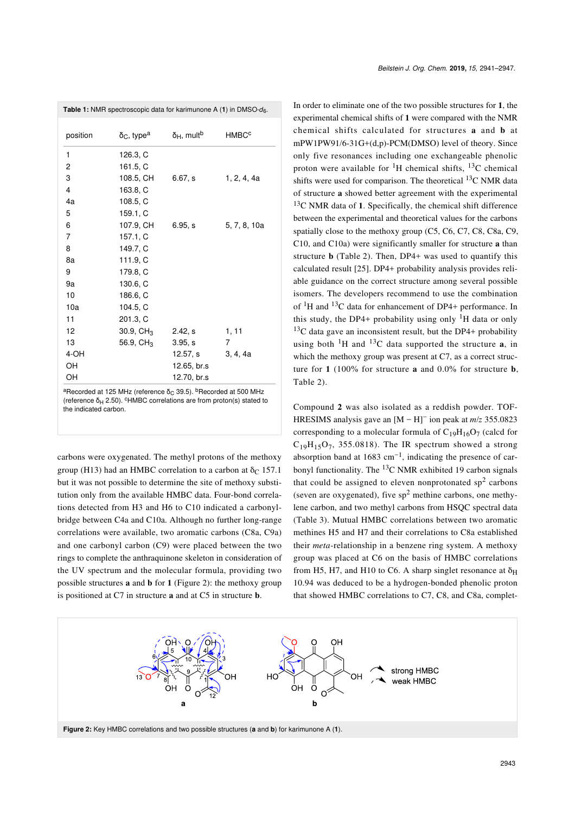<span id="page-2-0"></span>

| position | $δC$ , type <sup>a</sup> | $\delta_H$ , mult <sup>b</sup> | <b>HMBC<sup>c</sup></b> |  |
|----------|--------------------------|--------------------------------|-------------------------|--|
| 1        | 126.3, C                 |                                |                         |  |
| 2        | 161.5, C                 |                                |                         |  |
| 3        | 108.5, CH                | 6.67, s                        | 1, 2, 4, 4a             |  |
| 4        | 163.8, C                 |                                |                         |  |
| 4a       | 108.5, C                 |                                |                         |  |
| 5        | 159.1, C                 |                                |                         |  |
| 6        | 107.9, CH                | 6.95, s                        | 5, 7, 8, 10a            |  |
| 7        | 157.1, C                 |                                |                         |  |
| 8        | 149.7, C                 |                                |                         |  |
| 8a       | 111.9, C                 |                                |                         |  |
| 9        | 179.8, C                 |                                |                         |  |
| 9a       | 130.6, C                 |                                |                         |  |
| 10       | 186.6, C                 |                                |                         |  |
| 10a      | 104.5, C                 |                                |                         |  |
| 11       | 201.3, C                 |                                |                         |  |
| 12       | $30.9, \, \text{CH}_3$   | 2.42, s                        | 1, 11                   |  |
| 13       | 56.9, $CH3$              | 3.95, s                        | 7                       |  |
| 4-OH     |                          | 12.57, s                       | 3, 4, 4a                |  |
| OН       |                          | 12.65, br.s                    |                         |  |
| OН       |                          | 12.70, br.s                    |                         |  |

(reference  $\delta_H$  2.50). <sup>c</sup>HMBC correlations are from proton(s) stated to the indicated carbon.

carbons were oxygenated. The methyl protons of the methoxy group (H13) had an HMBC correlation to a carbon at  $\delta$ <sub>C</sub> 157.1 but it was not possible to determine the site of methoxy substitution only from the available HMBC data. Four-bond correlations detected from H3 and H6 to C10 indicated a carbonylbridge between C4a and C10a. Although no further long-range correlations were available, two aromatic carbons (C8a, C9a) and one carbonyl carbon (C9) were placed between the two rings to complete the anthraquinone skeleton in consideration of the UV spectrum and the molecular formula, providing two possible structures **a** and **b** for **1** [\(Figure 2](#page-2-1)): the methoxy group is positioned at C7 in structure **a** and at C5 in structure **b**.

In order to eliminate one of the two possible structures for **1**, the experimental chemical shifts of **1** were compared with the NMR chemical shifts calculated for structures **a** and **b** at mPW1PW91/6-31G+(d,p)-PCM(DMSO) level of theory. Since only five resonances including one exchangeable phenolic proton were available for  ${}^{1}H$  chemical shifts,  ${}^{13}C$  chemical shifts were used for comparison. The theoretical  $^{13}$ C NMR data of structure **a** showed better agreement with the experimental <sup>13</sup>C NMR data of **1**. Specifically, the chemical shift difference between the experimental and theoretical values for the carbons spatially close to the methoxy group (C5, C6, C7, C8, C8a, C9, C10, and C10a) were significantly smaller for structure **a** than structure **b** [\(Table 2](#page-3-0)). Then, DP4+ was used to quantify this calculated result [\[25\].](#page-6-14) DP4+ probability analysis provides reliable guidance on the correct structure among several possible isomers. The developers recommend to use the combination of  ${}^{1}$ H and  ${}^{13}$ C data for enhancement of DP4+ performance. In this study, the DP4+ probability using only  ${}^{1}H$  data or only  $13C$  data gave an inconsistent result, but the DP4+ probability using both  ${}^{1}H$  and  ${}^{13}C$  data supported the structure **a**, in which the methoxy group was present at C7, as a correct structure for **1** (100% for structure **a** and 0.0% for structure **b**, [Table 2](#page-3-0)).

Compound **2** was also isolated as a reddish powder. TOF-HRESIMS analysis gave an [M − H]<sup>−</sup> ion peak at *m*/*z* 355.0823 corresponding to a molecular formula of  $C_{19}H_{16}O_7$  (calcd for  $C_{19}H_{15}O_7$ , 355.0818). The IR spectrum showed a strong absorption band at 1683 cm<sup>-1</sup>, indicating the presence of carbonyl functionality. The  ${}^{13}C$  NMR exhibited 19 carbon signals that could be assigned to eleven nonprotonated  $sp<sup>2</sup>$  carbons (seven are oxygenated), five  $sp<sup>2</sup>$  methine carbons, one methylene carbon, and two methyl carbons from HSQC spectral data ([Table 3](#page-4-0)). Mutual HMBC correlations between two aromatic methines H5 and H7 and their correlations to C8a established their *meta*-relationship in a benzene ring system. A methoxy group was placed at C6 on the basis of HMBC correlations from H5, H7, and H10 to C6. A sharp singlet resonance at  $\delta_{\rm H}$ 10.94 was deduced to be a hydrogen-bonded phenolic proton that showed HMBC correlations to C7, C8, and C8a, complet-

<span id="page-2-1"></span>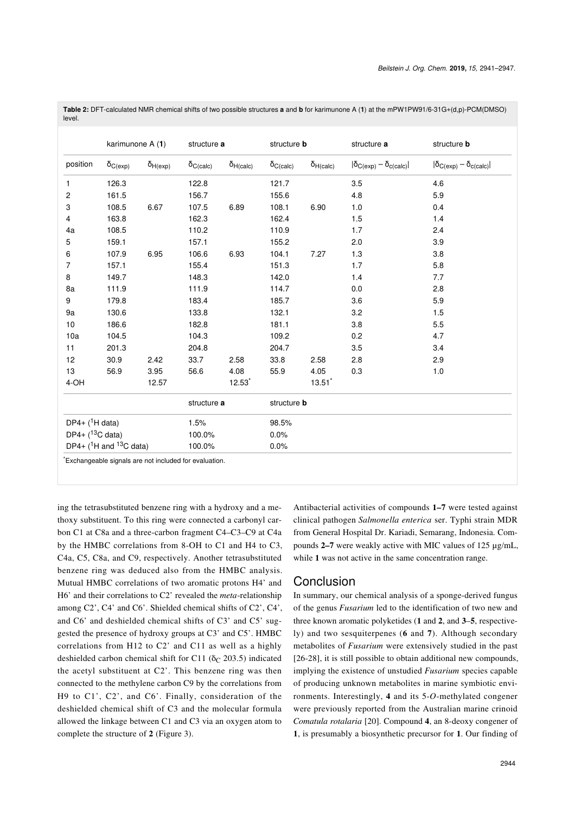|                                  | karimunone A (1)  |                   | structure a         |                    | structure <b>b</b>  |                    | structure a                            | structure <b>b</b>                     |
|----------------------------------|-------------------|-------------------|---------------------|--------------------|---------------------|--------------------|----------------------------------------|----------------------------------------|
| position                         | $\delta_{C(exp)}$ | $\delta_{H(exp)}$ | $\delta_{C (calc)}$ | $\delta_{H(calc)}$ | $\delta_{C (calc)}$ | $\delta_{H(calc)}$ | $ \delta_{C(exp)} - \delta_{c(calc)} $ | $ \delta_{C(exp)} - \delta_{c(calc)} $ |
| 1                                | 126.3             |                   | 122.8               |                    | 121.7               |                    | 3.5                                    | 4.6                                    |
| $\overline{c}$                   | 161.5             |                   | 156.7               |                    | 155.6               |                    | 4.8                                    | 5.9                                    |
| 3                                | 108.5             | 6.67              | 107.5               | 6.89               | 108.1               | 6.90               | 1.0                                    | 0.4                                    |
| 4                                | 163.8             |                   | 162.3               |                    | 162.4               |                    | 1.5                                    | 1.4                                    |
| 4a                               | 108.5             |                   | 110.2               |                    | 110.9               |                    | 1.7                                    | 2.4                                    |
| 5                                | 159.1             |                   | 157.1               |                    | 155.2               |                    | 2.0                                    | 3.9                                    |
| 6                                | 107.9             | 6.95              | 106.6               | 6.93               | 104.1               | 7.27               | 1.3                                    | 3.8                                    |
| 7                                | 157.1             |                   | 155.4               |                    | 151.3               |                    | 1.7                                    | 5.8                                    |
| 8                                | 149.7             |                   | 148.3               |                    | 142.0               |                    | 1.4                                    | 7.7                                    |
| 8a                               | 111.9             |                   | 111.9               |                    | 114.7               |                    | 0.0                                    | 2.8                                    |
| 9                                | 179.8             |                   | 183.4               |                    | 185.7               |                    | 3.6                                    | 5.9                                    |
| 9a                               | 130.6             |                   | 133.8               |                    | 132.1               |                    | 3.2                                    | 1.5                                    |
| 10                               | 186.6             |                   | 182.8               |                    | 181.1               |                    | 3.8                                    | 5.5                                    |
| 10a                              | 104.5             |                   | 104.3               |                    | 109.2               |                    | 0.2                                    | 4.7                                    |
| 11                               | 201.3             |                   | 204.8               |                    | 204.7               |                    | 3.5                                    | 3.4                                    |
| 12                               | 30.9              | 2.42              | 33.7                | 2.58               | 33.8                | 2.58               | 2.8                                    | 2.9                                    |
| 13                               | 56.9              | 3.95              | 56.6                | 4.08               | 55.9                | 4.05               | 0.3                                    | 1.0                                    |
| 4-OH                             |                   | 12.57             |                     | 12.53              |                     | 13.51              |                                        |                                        |
|                                  |                   |                   | structure a         |                    | structure <b>b</b>  |                    |                                        |                                        |
| DP4+ $(^1H$ data)                |                   | 1.5%              |                     | 98.5%              |                     |                    |                                        |                                        |
| $DP4 + ({}^{13}C \text{ data})$  |                   | 100.0%            |                     | 0.0%               |                     |                    |                                        |                                        |
| DP4+ $(^1$ H and $^{13}$ C data) |                   | 100.0%            |                     | 0.0%               |                     |                    |                                        |                                        |

<span id="page-3-0"></span>**Table 2:** DFT-calculated NMR chemical shifts of two possible structures **a** and **b** for karimunone A (**1**) at the mPW1PW91/6-31G+(d,p)-PCM(DMSO) level.

ing the tetrasubstituted benzene ring with a hydroxy and a methoxy substituent. To this ring were connected a carbonyl carbon C1 at C8a and a three-carbon fragment C4–C3–C9 at C4a by the HMBC correlations from 8-OH to C1 and H4 to C3, C4a, C5, C8a, and C9, respectively. Another tetrasubstituted benzene ring was deduced also from the HMBC analysis. Mutual HMBC correlations of two aromatic protons H4' and H6' and their correlations to C2' revealed the *meta*-relationship among C2', C4' and C6'. Shielded chemical shifts of C2', C4', and C6' and deshielded chemical shifts of C3' and C5' suggested the presence of hydroxy groups at C3' and C5'. HMBC correlations from H12 to C2' and C11 as well as a highly deshielded carbon chemical shift for C11 ( $\delta$ C 203.5) indicated the acetyl substituent at C2'. This benzene ring was then connected to the methylene carbon C9 by the correlations from H9 to C1', C2', and C6'. Finally, consideration of the deshielded chemical shift of C3 and the molecular formula allowed the linkage between C1 and C3 via an oxygen atom to complete the structure of **2** [\(Figure 3](#page-4-1)).

Antibacterial activities of compounds **1–7** were tested against clinical pathogen *Salmonella enterica* ser. Typhi strain MDR from General Hospital Dr. Kariadi, Semarang, Indonesia. Compounds **2–7** were weakly active with MIC values of 125 µg/mL, while 1 was not active in the same concentration range.

## Conclusion

In summary, our chemical analysis of a sponge-derived fungus of the genus *Fusarium* led to the identification of two new and three known aromatic polyketides (**1** and **2**, and **3**–**5**, respectively) and two sesquiterpenes (**6** and **7**). Although secondary metabolites of *Fusarium* were extensively studied in the past [\[26-28\],](#page-6-15) it is still possible to obtain additional new compounds, implying the existence of unstudied *Fusarium* species capable of producing unknown metabolites in marine symbiotic environments. Interestingly, **4** and its 5-*O*-methylated congener were previously reported from the Australian marine crinoid *Comatula rotalaria* [\[20\]](#page-6-9). Compound **4**, an 8-deoxy congener of **1**, is presumably a biosynthetic precursor for **1**. Our finding of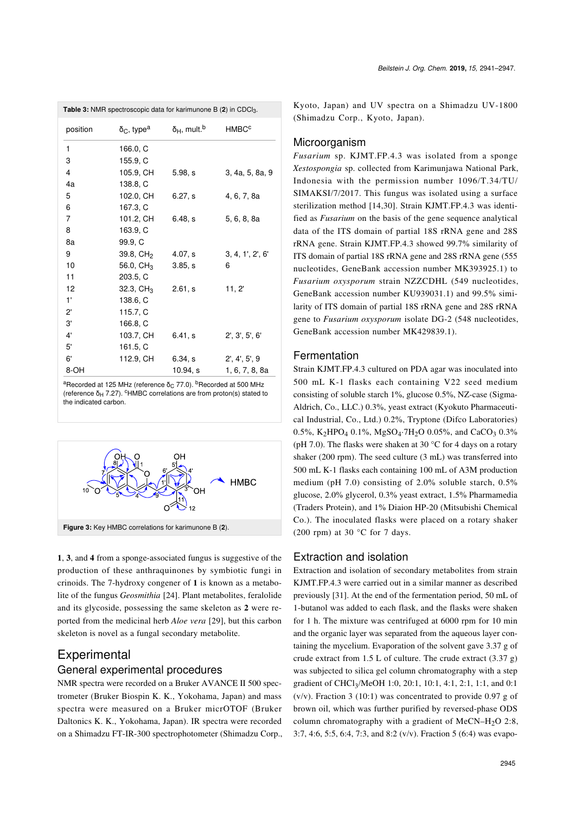<span id="page-4-0"></span>

| <b>Table 3:</b> NMR spectroscopic data for karimunone B (2) in CDCl <sub>3</sub> . |                                      |                                       |                         |  |  |  |  |
|------------------------------------------------------------------------------------|--------------------------------------|---------------------------------------|-------------------------|--|--|--|--|
| position                                                                           | $\delta_{\rm C}$ , type <sup>a</sup> | $δ$ <sub>H</sub> , mult. <sup>b</sup> | <b>HMBC<sup>c</sup></b> |  |  |  |  |
| 1                                                                                  | 166.0, C                             |                                       |                         |  |  |  |  |
| 3                                                                                  | 155.9, C                             |                                       |                         |  |  |  |  |
| 4                                                                                  | 105.9, CH                            | 5.98, s                               | 3, 4a, 5, 8a, 9         |  |  |  |  |
| 4a                                                                                 | 138.8, C                             |                                       |                         |  |  |  |  |
| 5                                                                                  | 102.0, CH                            | 6.27, s                               | 4, 6, 7, 8a             |  |  |  |  |
| 6                                                                                  | 167.3, C                             |                                       |                         |  |  |  |  |
| $\overline{7}$                                                                     | 101.2, CH                            | 6.48, s                               | 5, 6, 8, 8a             |  |  |  |  |
| 8                                                                                  | 163.9, C                             |                                       |                         |  |  |  |  |
| 8a                                                                                 | 99.9, C                              |                                       |                         |  |  |  |  |
| 9                                                                                  | 39.8, CH <sub>2</sub>                | 4.07, s                               | 3, 4, 1', 2', 6'        |  |  |  |  |
| 10                                                                                 | 56.0, $CH_3$                         | 3.85. s                               | 6                       |  |  |  |  |
| 11                                                                                 | 203.5, C                             |                                       |                         |  |  |  |  |
| 12                                                                                 | 32.3, $CH_3$                         | 2.61, s                               | 11, 2'                  |  |  |  |  |
| 1'                                                                                 | 138.6, C                             |                                       |                         |  |  |  |  |
| $2^{\circ}$                                                                        | 115.7, C                             |                                       |                         |  |  |  |  |
| 3'                                                                                 | 166.8, C                             |                                       |                         |  |  |  |  |
| $4^{\circ}$                                                                        | 103.7, CH                            | 6.41, s                               | 2', 3', 5', 6'          |  |  |  |  |
| 5'                                                                                 | 161.5, C                             |                                       |                         |  |  |  |  |
| 6'                                                                                 | 112.9, CH                            | 6.34, s                               | 2', 4', 5', 9           |  |  |  |  |
| 8-OH                                                                               |                                      | 10.94, s                              | 1, 6, 7, 8, 8a          |  |  |  |  |

<sup>a</sup>Recorded at 125 MHz (reference δ<sub>C</sub> 77.0). <sup>b</sup>Recorded at 500 MHz (reference  $\delta_H$  7.27). <sup>c</sup>HMBC correlations are from proton(s) stated to the indicated carbon.

<span id="page-4-1"></span>

**1**, **3**, and **4** from a sponge-associated fungus is suggestive of the production of these anthraquinones by symbiotic fungi in crinoids. The 7-hydroxy congener of **1** is known as a metabolite of the fungus *Geosmithia* [\[24\].](#page-6-13) Plant metabolites, feralolide and its glycoside, possessing the same skeleton as **2** were reported from the medicinal herb *Aloe vera* [\[29\]](#page-6-16), but this carbon skeleton is novel as a fungal secondary metabolite.

## **Experimental**

### General experimental procedures

NMR spectra were recorded on a Bruker AVANCE II 500 spectrometer (Bruker Biospin K. K., Yokohama, Japan) and mass spectra were measured on a Bruker micrOTOF (Bruker Daltonics K. K., Yokohama, Japan). IR spectra were recorded on a Shimadzu FT-IR-300 spectrophotometer (Shimadzu Corp., Kyoto, Japan) and UV spectra on a Shimadzu UV-1800 (Shimadzu Corp., Kyoto, Japan).

### Microorganism

*Fusarium* sp. KJMT.FP.4.3 was isolated from a sponge *Xestospongia* sp. collected from Karimunjawa National Park, Indonesia with the permission number 1096/T.34/TU/ SIMAKSI/7/2017. This fungus was isolated using a surface sterilization method [\[14,30\]](#page-6-6). Strain KJMT.FP.4.3 was identified as *Fusarium* on the basis of the gene sequence analytical data of the ITS domain of partial 18S rRNA gene and 28S rRNA gene. Strain KJMT.FP.4.3 showed 99.7% similarity of ITS domain of partial 18S rRNA gene and 28S rRNA gene (555 nucleotides, GeneBank accession number MK393925.1) to *Fusarium oxysporum* strain NZZCDHL (549 nucleotides, GeneBank accession number KU939031.1) and 99.5% similarity of ITS domain of partial 18S rRNA gene and 28S rRNA gene to *Fusarium oxysporum* isolate DG-2 (548 nucleotides, GeneBank accession number MK429839.1).

#### **Fermentation**

Strain KJMT.FP.4.3 cultured on PDA agar was inoculated into 500 mL K-1 flasks each containing V22 seed medium consisting of soluble starch 1%, glucose 0.5%, NZ-case (Sigma-Aldrich, Co., LLC.) 0.3%, yeast extract (Kyokuto Pharmaceutical Industrial, Co., Ltd.) 0.2%, Tryptone (Difco Laboratories) 0.5%, K<sub>2</sub>HPO<sub>4</sub> 0.1%, MgSO<sub>4</sub>·7H<sub>2</sub>O 0.05%, and CaCO<sub>3</sub> 0.3% (pH 7.0). The flasks were shaken at 30  $^{\circ}$ C for 4 days on a rotary shaker (200 rpm). The seed culture (3 mL) was transferred into 500 mL K-1 flasks each containing 100 mL of A3M production medium (pH 7.0) consisting of 2.0% soluble starch, 0.5% glucose, 2.0% glycerol, 0.3% yeast extract, 1.5% Pharmamedia (Traders Protein), and 1% Diaion HP-20 (Mitsubishi Chemical Co.). The inoculated flasks were placed on a rotary shaker (200 rpm) at 30  $^{\circ}$ C for 7 days.

#### Extraction and isolation

Extraction and isolation of secondary metabolites from strain KJMT.FP.4.3 were carried out in a similar manner as described previously [\[31\].](#page-6-17) At the end of the fermentation period, 50 mL of 1-butanol was added to each flask, and the flasks were shaken for 1 h. The mixture was centrifuged at 6000 rpm for 10 min and the organic layer was separated from the aqueous layer containing the mycelium. Evaporation of the solvent gave 3.37 g of crude extract from 1.5 L of culture. The crude extract  $(3.37 \text{ g})$ was subjected to silica gel column chromatography with a step gradient of CHCl3 /MeOH 1:0, 20:1, 10:1, 4:1, 2:1, 1:1, and 0:1  $(v/v)$ . Fraction 3 (10:1) was concentrated to provide 0.97 g of brown oil, which was further purified by reversed-phase ODS column chromatography with a gradient of MeCN–H<sub>2</sub>O 2:8, 3:7, 4:6, 5:5, 6:4, 7:3, and 8:2 (v/v). Fraction 5 (6:4) was evapo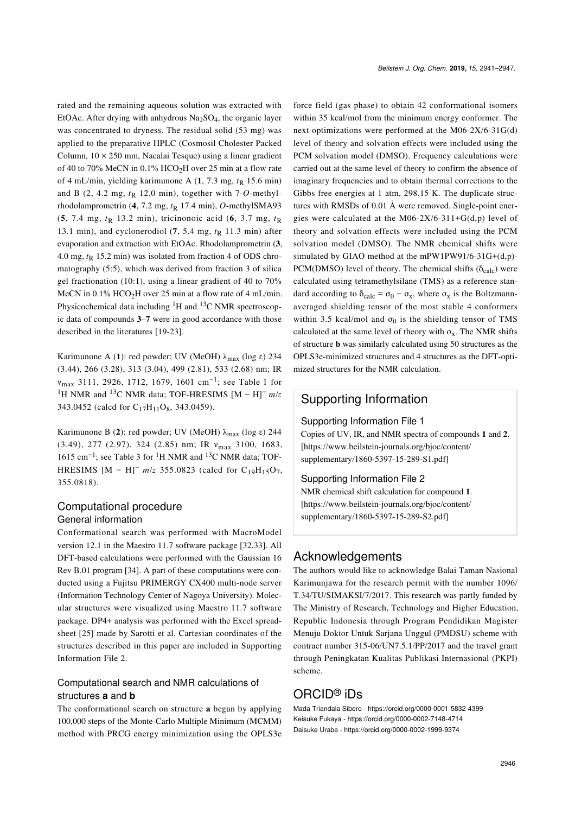rated and the remaining aqueous solution was extracted with EtOAc. After drying with anhydrous  $Na<sub>2</sub>SO<sub>4</sub>$ , the organic layer was concentrated to dryness. The residual solid (53 mg) was applied to the preparative HPLC (Cosmosil Cholester Packed Column,  $10 \times 250$  mm, Nacalai Tesque) using a linear gradient of 40 to 70% MeCN in  $0.1\%$  HCO<sub>2</sub>H over 25 min at a flow rate of 4 mL/min, yielding karimunone A  $(1, 7.3 \text{ mg}, t_R 15.6 \text{ min})$ and B  $(2, 4.2 \text{ mg}, t_R 12.0 \text{ min})$ , together with 7-*O*-methylrhodolamprometrin (4, 7.2 mg,  $t<sub>R</sub>$  17.4 min), *O*-methylSMA93  $(5, 7.4 \text{ mg}, t_R \text{ 13.2 min})$ , tricinonoic acid  $(6, 3.7 \text{ mg}, t_R \text{ )}$ 13.1 min), and cyclonerodiol (**7**, 5.4 mg, *t*R 11.3 min) after evaporation and extraction with EtOAc. Rhodolamprometrin (**3**, 4.0 mg,  $t<sub>R</sub>$  15.2 min) was isolated from fraction 4 of ODS chromatography (5:5), which was derived from fraction 3 of silica gel fractionation (10:1), using a linear gradient of 40 to 70% MeCN in  $0.1\%$  HCO<sub>2</sub>H over 25 min at a flow rate of 4 mL/min. Physicochemical data including  ${}^{1}H$  and  ${}^{13}C$  NMR spectroscopic data of compounds **3**–**7** were in good accordance with those described in the literatures [\[19-23\]](#page-6-8).

Karimunone A (1): red powder; UV (MeOH) λ<sub>max</sub> (log ε) 234 (3.44), 266 (3.28), 313 (3.04), 499 (2.81), 533 (2.68) nm; IR νmax 3111, 2926, 1712, 1679, 1601 cm−<sup>1</sup> ; see [Table 1](#page-2-0) for <sup>1</sup>H NMR and 13C NMR data; TOF-HRESIMS [M − H]<sup>−</sup> *m*/*z* 343.0452 (calcd for C<sub>17</sub>H<sub>11</sub>O<sub>8</sub>, 343.0459).

Karimunone B (2): red powder; UV (MeOH) λ<sub>max</sub> (log ε) 244 (3.49), 277 (2.97), 324 (2.85) nm; IR νmax 3100, 1683, 1615 cm−<sup>1</sup> ; see [Table 3](#page-4-0) for 1H NMR and 13C NMR data; TOF-HRESIMS  $[M - H]$ <sup>−</sup> *m*/*z* 355.0823 (calcd for C<sub>19</sub>H<sub>15</sub>O<sub>7</sub>, 355.0818).

## Computational procedure General information

Conformational search was performed with MacroModel version 12.1 in the Maestro 11.7 software package [\[32,33\].](#page-6-18) All DFT-based calculations were performed with the Gaussian 16 Rev B.01 program [\[34\].](#page-6-19) A part of these computations were conducted using a Fujitsu PRIMERGY CX400 multi-node server (Information Technology Center of Nagoya University). Molecular structures were visualized using Maestro 11.7 software package. DP4+ analysis was performed with the Excel spreadsheet [\[25\]](#page-6-14) made by Sarotti et al. Cartesian coordinates of the structures described in this paper are included in [Supporting](#page-5-0) [Information File 2](#page-5-0).

### Computational search and NMR calculations of structures **a** and **b**

The conformational search on structure **a** began by applying 100,000 steps of the Monte-Carlo Multiple Minimum (MCMM) method with PRCG energy minimization using the OPLS3e force field (gas phase) to obtain 42 conformational isomers within 35 kcal/mol from the minimum energy conformer. The next optimizations were performed at the M06-2X/6-31G(d) level of theory and solvation effects were included using the PCM solvation model (DMSO). Frequency calculations were carried out at the same level of theory to confirm the absence of imaginary frequencies and to obtain thermal corrections to the Gibbs free energies at 1 atm, 298.15 K. The duplicate structures with RMSDs of 0.01 Å were removed. Single-point energies were calculated at the M06-2X/6-311+G(d,p) level of theory and solvation effects were included using the PCM solvation model (DMSO). The NMR chemical shifts were simulated by GIAO method at the mPW1PW91/6-31G+ $(d,p)$ -PCM(DMSO) level of theory. The chemical shifts ( $\delta_{\text{calc}}$ ) were calculated using tetramethylsilane (TMS) as a reference standard according to  $\delta_{\text{calc}} = \sigma_0 - \sigma_x$ , where  $\sigma_x$  is the Boltzmannaveraged shielding tensor of the most stable 4 conformers within 3.5 kcal/mol and  $\sigma_0$  is the shielding tensor of TMS calculated at the same level of theory with  $\sigma_x$ . The NMR shifts of structure **b** was similarly calculated using 50 structures as the OPLS3e-minimized structures and 4 structures as the DFT-optimized structures for the NMR calculation.

## Supporting Information

### Supporting Information File 1

Copies of UV, IR, and NMR spectra of compounds **1** and **2**. [\[https://www.beilstein-journals.org/bjoc/content/](https://www.beilstein-journals.org/bjoc/content/supplementary/1860-5397-15-289-S1.pdf) [supplementary/1860-5397-15-289-S1.pdf\]](https://www.beilstein-journals.org/bjoc/content/supplementary/1860-5397-15-289-S1.pdf)

#### <span id="page-5-0"></span>Supporting Information File 2

NMR chemical shift calculation for compound **1**. [\[https://www.beilstein-journals.org/bjoc/content/](https://www.beilstein-journals.org/bjoc/content/supplementary/1860-5397-15-289-S2.pdf) [supplementary/1860-5397-15-289-S2.pdf\]](https://www.beilstein-journals.org/bjoc/content/supplementary/1860-5397-15-289-S2.pdf)

## Acknowledgements

The authors would like to acknowledge Balai Taman Nasional Karimunjawa for the research permit with the number 1096/ T.34/TU/SIMAKSI/7/2017. This research was partly funded by The Ministry of Research, Technology and Higher Education, Republic Indonesia through Program Pendidikan Magister Menuju Doktor Untuk Sarjana Unggul (PMDSU) scheme with contract number 315-06/UN7.5.1/PP/2017 and the travel grant through Peningkatan Kualitas Publikasi Internasional (PKPI) scheme.

## ORCID® iDs

Mada Triandala Sibero - <https://orcid.org/0000-0001-5832-4399> Keisuke Fukaya - <https://orcid.org/0000-0002-7148-4714> Daisuke Urabe -<https://orcid.org/0000-0002-1999-9374>